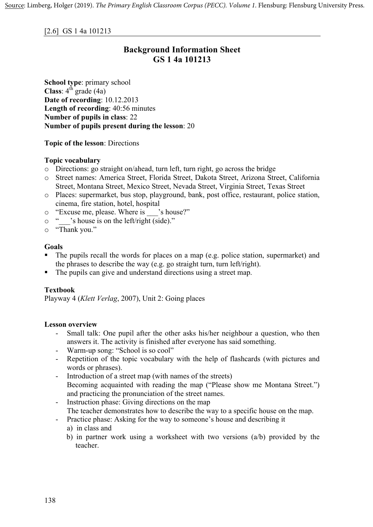# [2.6] GS 1 4a 101213

# **Background Information Sheet GS 1 4a 101213**

**School type**: primary school **Class**:  $4^{\text{th}}$  grade (4a) **Date of recording**: 10.12.2013 **Length of recording**: 40:56 minutes **Number of pupils in class**: 22 **Number of pupils present during the lesson**: 20

# **Topic of the lesson**: Directions

# **Topic vocabulary**

- o Directions: go straight on/ahead, turn left, turn right, go across the bridge
- o Street names: America Street, Florida Street, Dakota Street, Arizona Street, California Street, Montana Street, Mexico Street, Nevada Street, Virginia Street, Texas Street
- o Places: supermarket, bus stop, playground, bank, post office, restaurant, police station, cinema, fire station, hotel, hospital
- o "Excuse me, please. Where is \_\_\_'s house?"
- o "\_\_\_'s house is on the left/right (side)."
- o "Thank you."

# **Goals**

- The pupils recall the words for places on a map (e.g. police station, supermarket) and the phrases to describe the way (e.g. go straight turn, turn left/right).
- The pupils can give and understand directions using a street map.

#### **Textbook**

Playway 4 (*Klett Verlag*, 2007), Unit 2: Going places

# **Lesson overview**

- Small talk: One pupil after the other asks his/her neighbour a question, who then answers it. The activity is finished after everyone has said something.
- Warm-up song: "School is so cool"
- Repetition of the topic vocabulary with the help of flashcards (with pictures and words or phrases).
- Introduction of a street map (with names of the streets) Becoming acquainted with reading the map ("Please show me Montana Street.") and practicing the pronunciation of the street names.
- Instruction phase: Giving directions on the map The teacher demonstrates how to describe the way to a specific house on the map.
- Practice phase: Asking for the way to someone's house and describing it
	- a) in class and
	- b) in partner work using a worksheet with two versions  $(a/b)$  provided by the teacher.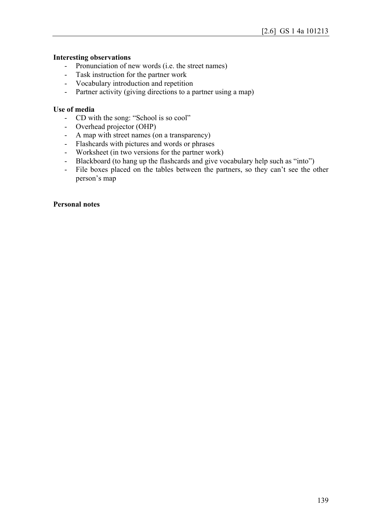#### **Interesting observations**

- Pronunciation of new words (i.e. the street names)
- Task instruction for the partner work
- Vocabulary introduction and repetition
- Partner activity (giving directions to a partner using a map)

#### **Use of media**

- CD with the song: "School is so cool"
- Overhead projector (OHP)
- A map with street names (on a transparency)
- Flashcards with pictures and words or phrases
- Worksheet (in two versions for the partner work)
- Blackboard (to hang up the flashcards and give vocabulary help such as "into")
- File boxes placed on the tables between the partners, so they can't see the other person's map

#### **Personal notes**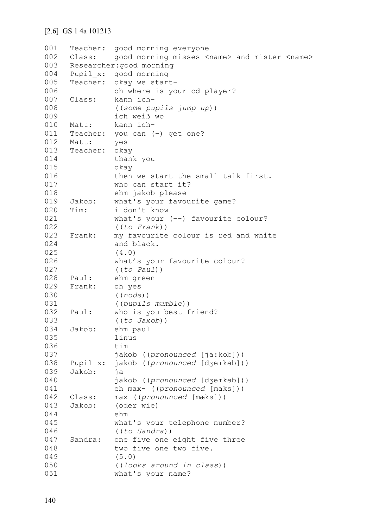```
001
002
003
004
005
006
007
008
009
010
011
012
013
014
015
016
017
018
019
020
021
022
023
024
025
026
027
028
029
030
031
032
033
034
035
036
037
038
039
040
041
042
043
044
045
046
047
048
049
050
051
     Teacher: good morning everyone
     Class: good morning misses <name> and mister <name>
    Researcher:good morning
     Pupil_x: good morning
     Teacher: okay we start-
               oh where is your cd player?
     Class: kann ich-
               ((some pupils jump up))
               ich weiß wo
     Matt: kann ich-
     Teacher: you can (-) get one?
     Matt: yes
     Teacher: okay
               thank you 
               okay 
               then we start the small talk first. 
               who can start it? 
               ehm jakob please
     Jakob: what's your favourite game?
     Tim: i don't know
               what's your (--) favourite colour? 
               ((to Frank))
     Frank: my favourite colour is red and white
               and black.
                (4.0)
               what's your favourite colour? 
               ((to Paul))
     Paul: ehm green
     Frank: oh yes 
               ((nods))
                ((pupils mumble))
     Paul: who is you best friend?
               ((to Jakob))
     Jakob: ehm paul
               linus
               tim
               jakob ((pronounced [ja:kob]))
     Pupil x: jakob ((pronounced [dʒeɪkəb]))
     Jakob: ja 
               jakob ((pronounced [dʒeɪkɘb]))
               eh max- ((pronounced [maks]))
     Class: max ((pronounced [mæks]))
     Jakob: (oder wie)
               ehm 
               what's your telephone number? 
               ((to Sandra))
     Sandra: one five one eight five three 
               two five one two five.
                (5.0)
                ((looks around in class))
               what's your name?
```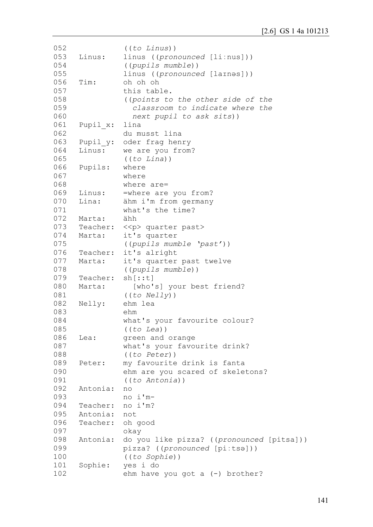```
052
053
054
055
056
057
058
059
060
061
062
063
064
065
066
067
068
069
070
071
072
073
074
075
076
077
078
079
080
081
082
083
084
085
086
087
088
089
090
091
092
093
094
095
096
097
098
099
100
101
102
                ((to Linus))
     Linus: linus ((pronounced [liːnus]))
                ((pupils mumble))
               linus ((pronounced [laɪnəs]))
     Tim: oh oh oh
               this table. 
                ((points to the other side of the 
                  classroom to indicate where the
                  next pupil to ask sits))
     Pupil x: lina
               du musst lina 
     Pupil y: oder frag henry
     Linus: we are you from? 
                ((to Lina))
     Pupils: where 
               where 
               where are=
     Linus: = where are you from?
     Lina: ähm i'm from germany
               what's the time?
     Marta: ähh
     Teacher: << p> quarter past>
     Marta: it's quarter
               ((pupils mumble 'past'))
     Teacher: it's alright
     Marta: it's quarter past twelve
                ((pupils mumble))
     Teacher: sh[::t]
     Marta: [who's] your best friend?
                ((to Nelly))
     Nelly: ehm lea
               ehm 
               what's your favourite colour? 
                ((to Lea))
     Lea: green and orange
               what's your favourite drink? 
                ((to Peter))
     Peter: my favourite drink is fanta
               ehm are you scared of skeletons? 
               ((to Antonia))
     Antonia: no
               no i'm-
     Teacher: no i'm? 
     Antonia: not
     Teacher: oh good
               okay
     Antonia: do you like pizza? ((pronounced [pitsa]))
               pizza? ((pronounced [piːtsə]))
                ((to Sophie))
     Sophie: yes i do
               ehm have you got a (-) brother?
```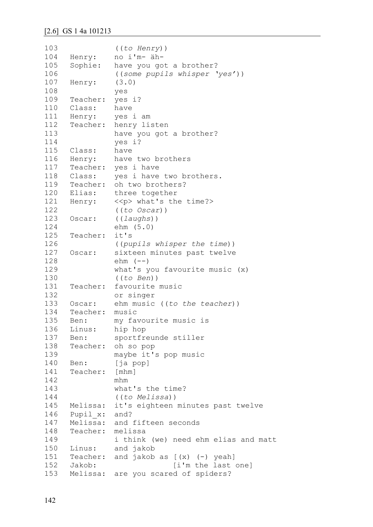```
103
104
105
106
107
108
109
110
111
112
113
114
115
116
117
118
119
120
121
122
123
124
125
126
127
128
129
130
131
132
133
134
135
136
137
138
139
140
141
142
143
144
145
146
147
148
149
150
151
152
153
               ((to Henry))
     Henry: no i'm- äh-
     Sophie: have you got a brother?
               ((some pupils whisper 'yes'))
     Henry: (3.0) 
               yes
     Teacher: yes i?
     Class: have
     Henry: yes i am
     Teacher: henry listen
               have you got a brother? 
               yes i?
     Class: have
     Henry: have two brothers
     Teacher: yes i have
     Class: yes i have two brothers.
     Teacher: oh two brothers?
     Elias: three together
     Henry: << ><< >> what's the time?>
               ((to Oscar))
     Oscar: ((laughs)) 
               ehm (5.0)
     Teacher: it's
               ((pupils whisper the time))
     Oscar: sixteen minutes past twelve
               ehm (--)what's you favourite music (x) 
               ((to Ben))
     Teacher: favourite music 
               or singer
     Oscar: ehm music ((to the teacher))
     Teacher: music
     Ben: my favourite music is
     Linus: hip hop
     Ben: sportfreunde stiller
     Teacher: oh so pop
               maybe it's pop music
     Ben: [ja pop]
     Teacher: [mhm] 
               mhm
               what's the time? 
               ((to Melissa))
     Melissa: it's eighteen minutes past twelve
     Pupil x: and?
     Melissa: and fifteen seconds
     Teacher: melissa 
               i think (we) need ehm elias and matt
     Linus: and jakob
     Teacher: and jakob as [(x) (-) yeah]
     Jakob: [i'm the last one]
     Melissa: are you scared of spiders?
```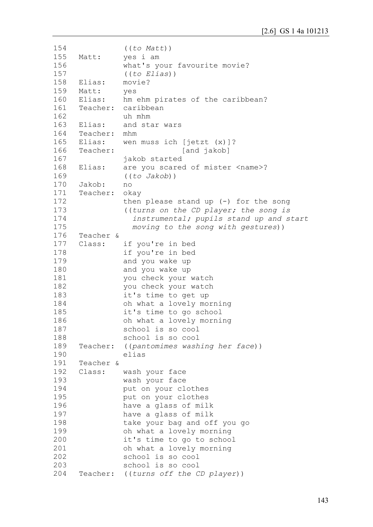```
154
155
156
157
158
159
160
161
162
163
164
165
166
167
168
169
170
171
172
173
174
175
176
177
178
179
180
181
182
183
184
185
186
187
188
189
190
191
192
193
194
195
196
197
198
199
200
201
202
203
204
                ((to Matt))
     Matt: yes i am
               what's your favourite movie? 
               ((to Elias))
     Elias: movie?
     Matt: yes
     Elias: hm ehm pirates of the caribbean?
     Teacher: caribbean 
               uh mhm
     Elias: and star wars
     Teacher: mhm
     Elias: wen muss ich [jetzt (x)]?
     Teacher: [and jakob]
               jakob started
     Elias: are you scared of mister <name>?
               ((to Jakob))
     Jakob: no
     Teacher: okay
               then please stand up (-) for the song
                ((turns on the CD player; the song is
                  instrumental; pupils stand up and start
                  moving to the song with gestures))
     Teacher & 
     Class: if you're in bed
               if you're in bed 
               and you wake up
               and you wake up
               you check your watch
               you check your watch
               it's time to get up
               oh what a lovely morning 
               it's time to go school
               oh what a lovely morning
               school is so cool 
               school is so cool
     Teacher: ((pantomimes washing her face)) 
               elias
     Teacher & 
     Class: wash your face
               wash your face 
               put on your clothes
               put on your clothes
               have a glass of milk
               have a glass of milk
               take your bag and off you go
               oh what a lovely morning
               it's time to go to school
               oh what a lovely morning
               school is so cool
               school is so cool
     Teacher: ((turns off the CD player))
```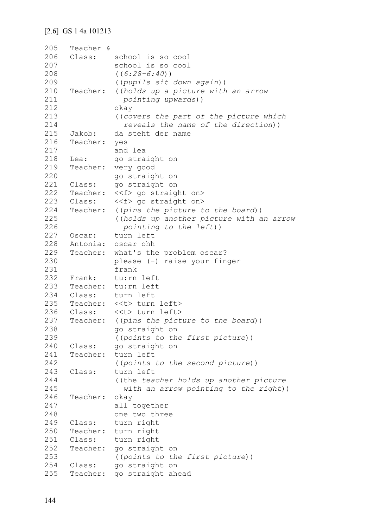```
205
206
207
208
209
210
211
212
213
214
215
216
217
218
219
220
221
222
223
224
225
226
227
228
229
230
231
232
233
234
235
236
237
238
239
240
241
242
243
244
245
246
247
248
249
250
251
252
253
254
255
     Teacher & 
     Class: school is so cool
               school is so cool
                ((6:28-6:40))
                ((pupils sit down again))
     Teacher: ((holds up a picture with an arrow 
                  pointing upwards)) 
               okay
                ((covers the part of the picture which 
                  reveals the name of the direction))
     Jakob: da steht der name
     Teacher: yes
               and lea
     Lea: qo straight on
     Teacher: very good
               go straight on
     Class: go straight on
     Teacher: <<f> go straight on>
     Class: <<f> go straight on>
     Teacher: ((pins the picture to the board))
                ((holds up another picture with an arrow
                  pointing to the left))
     Oscar: turn left
     Antonia: oscar ohh
     Teacher: what's the problem oscar? 
               please (-) raise your finger
               frank
     Frank: tu:rn left
     Teacher: tu:rn left
     Class: turn left
     Teacher: <<t> turn left>
     Class: <<t> turn left>
     Teacher: ((pins the picture to the board))
               go straight on
               ((points to the first picture))
     Class: go straight on
     Teacher: turn left 
                ((points to the second picture))
     Class: turn left
                ((the teacher holds up another picture
                  with an arrow pointing to the right))
     Teacher: okay 
               all together 
               one two three
     Class: turn right
     Teacher: turn right
     Class: turn right
     Teacher: go straight on
               ((points to the first picture))
     Class: go straight on
     Teacher: go straight ahead
```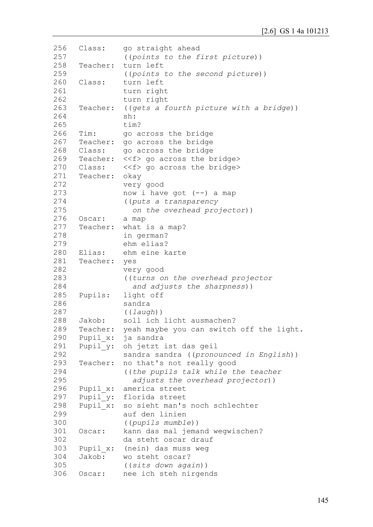```
256
257
258
259
260
261
262
263
264
265
266
267
268
269
270
271
272
273
274
275
276
277
278
279
280
281
282
283
284
285
286
287
288
289
290
291
292
293
294
295
296
297
298
299
300
301
302
303
304
305
306
     Class: go straight ahead 
                ((points to the first picture))
     Teacher: turn left
                ((points to the second picture))
     Class: turn left
                turn right 
                turn right
     Teacher: ((gets a fourth picture with a bridge)) 
                sh: 
                tim?
     Tim: go across the bridge
     Teacher: go across the bridge
     Class: go across the bridge
     Teacher: <<f> go across the bridge>
     Class: <<f> go across the bridge> 
     Teacher: okay 
                very good 
                now i have got (--) a map
                ((puts a transparency 
                   on the overhead projector))
     Oscar: a map
     Teacher: what is a map? 
                in german? 
                ehm elias?
     Elias: ehm eine karte
     Teacher: yes 
                very good
                ((turns on the overhead projector
                   and adjusts the sharpness))
     Pupils: light off
                sandra 
                ((laugh))
     Jakob: soll ich licht ausmachen?
     Teacher: yeah maybe you can switch off the light.
     Pupil x: ja sandra
     Pupil y: oh jetzt ist das geil
                sandra sandra ((pronounced in English))
     Teacher: no that's not really good
                ((the pupils talk while the teacher 
                   adjusts the overhead projector))
     Pupil_x: america street<br>Pupil_y: florida street
                florida street
     Pupil x: so sieht man's noch schlechter
                auf den linien
                ((pupils mumble))
     Oscar: kann das mal jemand wegwischen?
                da steht oscar drauf 
     Pupil x: (nein) das muss weg
     Jakob: wo steht oscar? 
                ((sits down again))
     Oscar: nee ich steh nirgends
```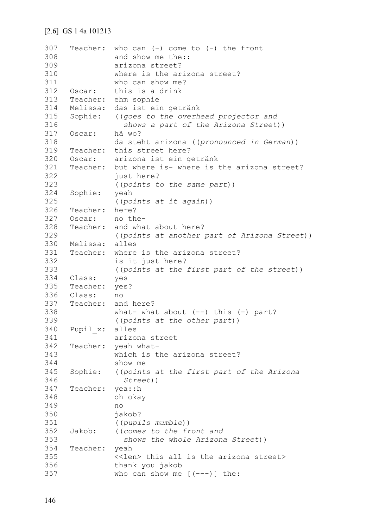```
307
308
309
310
311
312
313
314
315
316
317
318
319
320
321
322
323
324
325
326
327
328
329
330
331
332
333
334
335
336
337
338
339
340
341
342
343
344
345
346
347
348
349
350
351
352
353
354
355
356
357
     Teacher: who can (-) come to (-) the front 
               and show me the::
               arizona street?
               where is the arizona street? 
               who can show me?
     Oscar: this is a drink
     Teacher: ehm sophie
    Melissa: das ist ein getränk
     Sophie: ((goes to the overhead projector and 
                  shows a part of the Arizona Street))
     Oscar: hä wo? 
               da steht arizona ((pronounced in German))
     Teacher: this street here?
     Oscar: arizona ist ein getränk
     Teacher: but where is- where is the arizona street?
               just here? 
               ((points to the same part))
     Sophie: yeah 
               ((points at it again))
     Teacher: here?
     Oscar: no the-
     Teacher: and what about here? 
               ((points at another part of Arizona Street))
    Melissa: alles
     Teacher: where is the arizona street?
               is it just here? 
               ((points at the first part of the street))
     Class: yes
     Teacher: yes?
     Class: no
     Teacher: and here? 
               what- what about (--) this (-) part?
               ((points at the other part))
     Pupil_x: alles 
               arizona street
     Teacher: yeah what-
               which is the arizona street? 
               show me
     Sophie: ((points at the first part of the Arizona 
                  Street))
     Teacher: yea::h 
               oh okay 
               no
               jakob?
                ((pupils mumble))
     Jakob: ((comes to the front and
                  shows the whole Arizona Street))
     Teacher: yeah
               <<len> this all is the arizona street> 
               thank you jakob
               who can show me [(---)] the:
```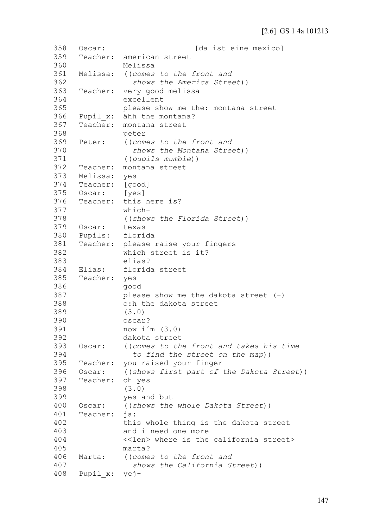```
358
359
360
361
362
363
364
365
366
367
368
369
370
371
372
373
374
375
376
377
378
379
380
381
382
383
384
385
386
387
388
389
390
391
392
393
394
395
396
397
398
399
400
401
402
403
404
405
406
407
408
     Oscar: [da ist eine mexico]
     Teacher: american street
               Melissa
     Melissa: ((comes to the front and 
                  shows the America Street))
     Teacher: very good melissa 
               excellent
               please show me the: montana street
     Pupil x: ähh the montana?
     Teacher: montana street
               peter
     Peter: ((comes to the front and 
                  shows the Montana Street))
               ((pupils mumble))
     Teacher: montana street
     Melissa: yes
     Teacher: [good]
     Oscar: [yes]
     Teacher: this here is?
               which-
               ((shows the Florida Street))
     Oscar: texas
     Pupils: florida
     Teacher: please raise your fingers
               which street is it? 
               elias?
    Elias: florida street
     Teacher: yes 
               good
               please show me the dakota street (-)o:h the dakota street
               (3.0)
               oscar? 
               now i´m (3.0)
               dakota street
    Oscar: ((comes to the front and takes his time
                  to find the street on the map))
     Teacher: you raised your finger
     Oscar: ((shows first part of the Dakota Street))
     Teacher: oh yes
               (3.0)
               yes and but
     Oscar: ((shows the whole Dakota Street))
     Teacher: ja:
               this whole thing is the dakota street 
               and i need one more 
               <<len> where is the california street> 
               marta?
     Marta: ((comes to the front and 
                  shows the California Street))
     Pupil_x: yej-
```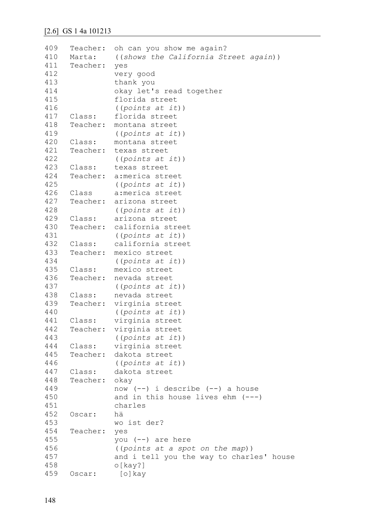```
409
410
411
412
413
414
415
416
417
418
419
420
421
422
423
424
425
426
427
428
429
430
431
432
433
434
435
436
437
438
439
440
441
442
443
444
445
446
447
448
449
450
451
452
453
454
455
456
457
458
459
     Teacher: oh can you show me again?
     Marta: ((shows the California Street again))
     Teacher: yes
               very good
               thank you
               okay let's read together 
               florida street
                ((points at it))
     Class: florida street
     Teacher: montana street
               ((points at it))
     Class: montana street
     Teacher: texas street
                ((points at it))
     Class: texas street
     Teacher: a:merica street 
                ((points at it))
     Class a:merica street
     Teacher: arizona street
                ((points at it))
     Class: arizona street
     Teacher: california street 
                ((points at it))
     Class: california street
     Teacher: mexico street 
               ((points at it))
     Class: mexico street
     Teacher: nevada street 
               ((points at it))
     Class: nevada street
     Teacher: virginia street
                ((points at it))
     Class: virginia street
     Teacher: virginia street 
                ((points at it))
     Class: virginia street
     Teacher: dakota street
                ((points at it)) 
     Class: dakota street
     Teacher: okay 
               now (--) i describe (--) a house 
               and in this house lives ehm (---)
               charles
     Oscar: hä 
               wo ist der?
     Teacher: yes 
               you (--) are here 
                ((points at a spot on the map)) 
               and i tell you the way to charles' house
               o[kay?]
     Oscar: [o]kay
```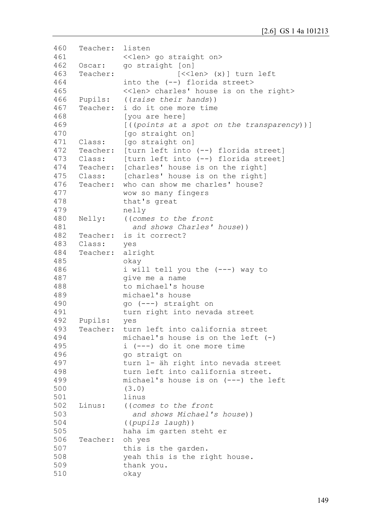```
460
461
462
463
464
465
466
467
468
469
470
471
472
473
474
475
476
477
478
479
480
481
482
483
484
485
486
487
488
489
490
491
492
493
494
495
496
497
498
499
500
501
502
503
504
505
506
507
508
509
510
     Teacher: listen
               <<len> go straight on>
     Oscar: go straight [on]
     Teacher: [<<len> (x)] turn left
               into the (--) florida street> 
               <<len> charles' house is on the right>
     Pupils: ((raise their hands))
     Teacher: i do it one more time 
               [you are here] 
                [((points at a spot on the transparency))] 
                [go straight on]
     Class: [go straight on]
     Teacher: [turn left into (--) florida street]
     Class: [turn left into (--) florida street] 
     Teacher: [charles' house is on the right]
     Class: [charles' house is on the right]
     Teacher: who can show me charles' house?
               wow so many fingers 
               that's great 
               nelly
     Nelly: ((comes to the front 
                  and shows Charles' house))
     Teacher: is it correct?
     Class: yes
     Teacher: alright 
               okay 
               i will tell you the (---) way to
               give me a name
               to michael's house 
               michael's house 
               go (---) straight on 
               turn right into nevada street
     Pupils: yes
     Teacher: turn left into california street 
               michael's house is on the left (-) 
               i (---) do it one more time
               go straigt on 
               turn l- äh right into nevada street 
               turn left into california street.
               michael's house is on (---) the left
                (3.0) 
               linus
     Linus: ((comes to the front 
                   and shows Michael's house)) 
                ((pupils laugh)) 
               haha im garten steht er
     Teacher: oh yes 
               this is the garden. 
               yeah this is the right house.
               thank you. 
               okay
```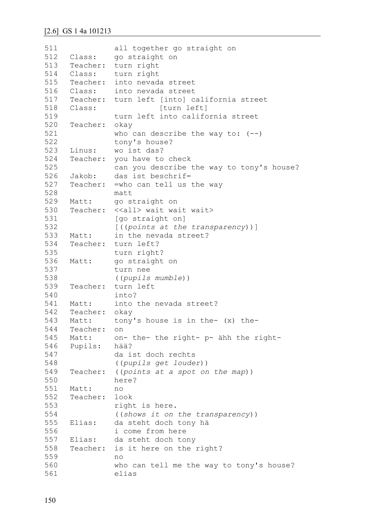| 511 |                   | all together go straight on                               |
|-----|-------------------|-----------------------------------------------------------|
| 512 | Class:            | go straight on                                            |
| 513 | Teacher:          | turn right                                                |
| 514 | Class:            | turn right                                                |
| 515 | Teacher:          | into nevada street                                        |
| 516 | Class:            | into nevada street                                        |
| 517 | Teacher:          | turn left [into] california street                        |
| 518 | Class:            | [turn left]                                               |
| 519 |                   | turn left into california street                          |
| 520 | Teacher:          | okay                                                      |
| 521 |                   | who can describe the way to: $(--)$                       |
| 522 |                   | tony's house?                                             |
| 523 | Linus:            | wo ist das?                                               |
| 524 | Teacher:          | you have to check                                         |
| 525 |                   | can you describe the way to tony's house?                 |
| 526 | Jakob:            | das ist beschrif=                                         |
| 527 | Teacher:          | =who can tell us the way                                  |
| 528 |                   | matt                                                      |
| 529 | Matt:             | go straight on                                            |
| 530 |                   | Teacher: < <all> wait wait wait&gt;</all>                 |
| 531 |                   |                                                           |
| 532 |                   | [go straight on]                                          |
| 533 |                   | [((points at the transparency))]<br>in the nevada street? |
| 534 | Matt:<br>Teacher: | turn left?                                                |
|     |                   |                                                           |
| 535 |                   | turn right?                                               |
| 536 | Matt:             | go straight on                                            |
| 537 |                   | turn nee                                                  |
| 538 |                   | ((pupils mumble))                                         |
| 539 | Teacher:          | turn left                                                 |
| 540 |                   | into?                                                     |
| 541 | Matt:             | into the nevada street?                                   |
| 542 | Teacher: okay     |                                                           |
| 543 | Matt:             | tony's house is in the- $(x)$ the-                        |
| 544 | Teacher:          | on                                                        |
| 545 | Matt:             | on- the- the right- p- ähh the right-                     |
| 546 | Pupils:           | hää?                                                      |
| 547 |                   | da ist doch rechts                                        |
| 548 |                   | ((pupils get louder))                                     |
| 549 | Teacher:          | ((points at a spot on the map))                           |
| 550 |                   | here?                                                     |
| 551 | Matt:             | no                                                        |
| 552 | Teacher:          | look                                                      |
| 553 |                   | right is here.                                            |
| 554 |                   | ((shows it on the transparency))                          |
| 555 | Elias:            | da steht doch tony hä                                     |
| 556 |                   | i come from here                                          |
| 557 | Elias:            | da steht doch tony                                        |
| 558 | Teacher:          | is it here on the right?                                  |
| 559 |                   | no                                                        |
| 560 |                   | who can tell me the way to tony's house?                  |
| 561 |                   | elias                                                     |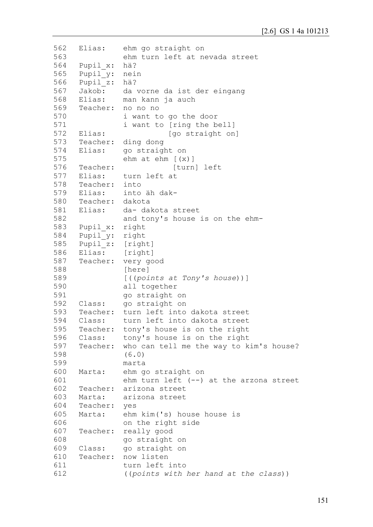```
562
563
564
565
566
567
568
569
570
571
572
573
574
575
576
577
578
579
580
581
582
583
584
585
586
587
588
589
590
591
592
593
594
595
596
597
598
599
600
601
602
603
604
605
606
607
608
609
610
611
612
     Elias: ehm go straight on 
               ehm turn left at nevada street
     Pupil_x: hä? 
     Pupil_y: nein 
     Pupil_z: hä?
     Jakob: da vorne da ist der eingang
     Elias: man kann ja auch
     Teacher: no no no
               i want to go the door
               i want to [ring the bell]
     Elias: [go straight on]
     Teacher: ding dong
     Elias: go straight on
               ehm at ehm (x)]
     Teacher: [turn] left
     Elias: turn left at
     Teacher: into
     Elias: into äh dak-
     Teacher: dakota
     Elias: da- dakota street
               and tony's house is on the ehm-
    Pupil x: right
     Pupil_y: right 
     Pupil z: [right]
     Elias: [right]
     Teacher: very good
               [here]
               [((points at Tony's house))]
               all together 
               go straight on
     Class: go straight on
     Teacher: turn left into dakota street
     Class: turn left into dakota street
     Teacher: tony's house is on the right
     Class: tony's house is on the right
     Teacher: who can tell me the way to kim's house?
               (6.0)
               marta
     Marta: ehm go straight on
               ehm turn left (--) at the arzona street
     Teacher: arizona street
     Marta: arizona street
     Teacher: yes
     Marta: ehm kim('s) house house is 
               on the right side
     Teacher: really good 
               go straight on
     Class: go straight on
     Teacher: now listen 
               turn left into
               ((points with her hand at the class))
```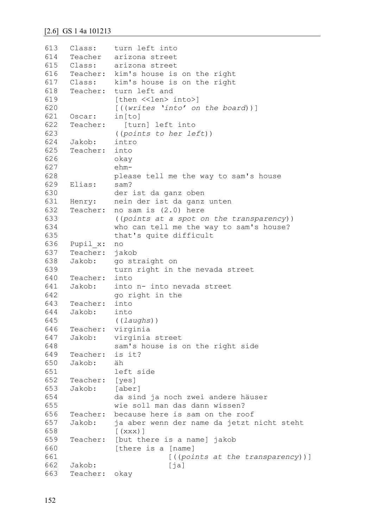```
613
614
615
616
617
618
619
620
621
622
623
624
625
626
627
628
629
630
631
632
633
634
635
636
637
638
639
640
641
642
643
644
645
646
647
648
649
650
651
652
653
654
655
656
657
658
659
660
661
662
663
     Class: turn left into
     Teacher arizona street
     Class: arizona street
     Teacher: kim's house is on the right
     Class: kim's house is on the right
     Teacher: turn left and 
               [then <<len> into>]
               [((writes 'into' on the board))]
     Oscar: in[to]
     Teacher: [turn] left into
               ((points to her left))
     Jakob: intro
     Teacher: into 
               okay
               ehm-
               please tell me the way to sam's house
     Elias: sam? 
               der ist da ganz oben
     Henry: nein der ist da ganz unten
     Teacher: no sam is (2.0) here 
               ((points at a spot on the transparency)) 
               who can tell me the way to sam's house? 
               that's quite difficult
     Pupil_x: no
     Teacher: jakob
     Jakob: go straight on 
               turn right in the nevada street
     Teacher: into
     Jakob: into n- into nevada street
              go right in the
    Teacher: into
     Jakob: into 
               ((laughs))
     Teacher: virginia
     Jakob: virginia street 
               sam's house is on the right side
     Teacher: is it?
     Jakob: äh
               left side
    Teacher: [yes]
     Jakob: [aber] 
               da sind ja noch zwei andere häuser
               wie soll man das dann wissen?
     Teacher: because here is sam on the roof
     Jakob: ja aber wenn der name da jetzt nicht steht
               (xxx)]
     Teacher: [but there is a name] jakob 
               [there is a [name]
                            [((points at the transparency))]
     Jakob: [ja]
     Teacher: okay
```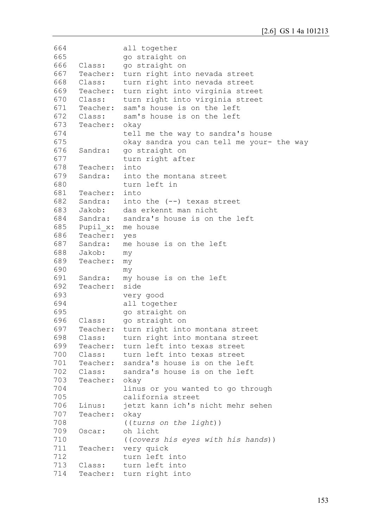```
664
665
666
667
668
669
670
671
672
673
674
675
676
677
678
679
680
681
682
683
684
685
686
687
688
689
690
691
692
693
694
695
696
697
698
699
700
701
702
703
704
705
706
707
708
709
710
711
712
713
714
               all together 
               go straight on
     Class: go straight on
     Teacher: turn right into nevada street
     Class: turn right into nevada street
     Teacher: turn right into virginia street
     Class: turn right into virginia street
     Teacher: sam's house is on the left
     Class: sam's house is on the left
     Teacher: okay
               tell me the way to sandra's house
               okay sandra you can tell me your- the way
     Sandra: go straight on 
               turn right after
     Teacher: into
     Sandra: into the montana street
               turn left in
     Teacher: into
     Sandra: into the (--) texas street
     Jakob: das erkennt man nicht
     Sandra: sandra's house is on the left
     Pupil x: me house
     Teacher: yes
     Sandra: me house is on the left
     Jakob: my
     Teacher: my 
               my
     Sandra: my house is on the left
     Teacher: side
               very good
               all together 
               go straight on
     Class: go straight on
     Teacher: turn right into montana street
     Class: turn right into montana street
     Teacher: turn left into texas street
     Class: turn left into texas street
     Teacher: sandra's house is on the left
     Class: sandra's house is on the left
     Teacher: okay
               linus or you wanted to go through 
               california street
     Linus: jetzt kann ich's nicht mehr sehen
     Teacher: okay 
               ((turns on the light)) 
     Oscar: oh licht 
               ((covers his eyes with his hands))
     Teacher: very quick 
               turn left into
     Class: turn left into
     Teacher: turn right into
```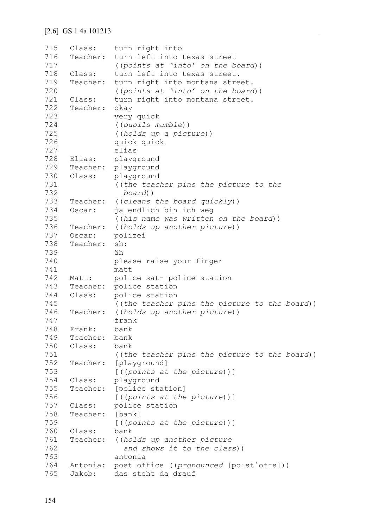```
715
716
717
718
719
720
721
722
723
724
725
726
727
728
729
730
731
732
733
734
735
736
737
738
739
740
741
742
743
744
745
746
747
748
749
750
751
752
753
754
755
756
757
758
759
760
761
762
763
764
765
     Class: turn right into
     Teacher: turn left into texas street
                ((points at 'into' on the board))
     Class: turn left into texas street.
     Teacher: turn right into montana street. 
               ((points at 'into' on the board))
     Class: turn right into montana street.
     Teacher: okay 
               very quick
                ((pupils mumble))
                ((holds up a picture)) 
               quick quick
               elias
     Elias: playground
     Teacher: playground
     Class: playground
                ((the teacher pins the picture to the 
                  board))
     Teacher: ((cleans the board quickly))
     Oscar: ja endlich bin ich weg 
               ((his name was written on the board))
     Teacher: ((holds up another picture))
     Oscar: polizei
     Teacher: sh:
               äh
               please raise your finger
               matt
     Matt: police sat- police station
     Teacher: police station
     Class: police station
               ((the teacher pins the picture to the board))
     Teacher: ((holds up another picture)) 
               frank
     Frank: bank
     Teacher: bank
     Class: bank
                ((the teacher pins the picture to the board))
     Teacher: [playground]
               [((points at the picture))]
     Class: playground
     Teacher: [police station]
               [((points at the picture))]
     Class: police station
     Teacher: [bank]
               [((points at the picture))]
     Class: bank
     Teacher: ((holds up another picture
                  and shows it to the class))
               antonia
     Antonia: post office ((pronounced [poːstˈofɪs]))
     Jakob: das steht da drauf
```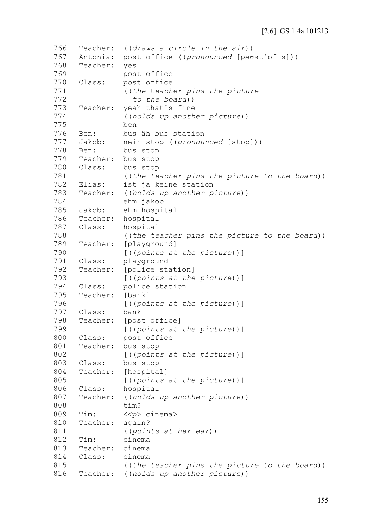```
766
767
768
769
770
771
772
773
774
775
776
777
778
779
780
781
782
783
784
785
786
787
788
789
790
791
792
793
794
795
796
797
798
799
800
801
802
803
804
805
806
807
808
809
810
811
812
813
814
815
816
     Teacher: ((draws a circle in the air))
     Antonia: post office ((pronounced [powst'pfis]))
     Teacher: yes 
               post office
     Class: post office 
               ((the teacher pins the picture
                  to the board))
     Teacher: yeah that's fine
               ((holds up another picture)) 
               ben
     Ben: bus äh bus station
     Jakob: nein stop ((pronounced [stɒp]))
     Ben: bus stop
     Teacher: bus stop
     Class: bus stop
               ((the teacher pins the picture to the board))
     Elias: ist ja keine station
     Teacher: ((holds up another picture)) 
               ehm jakob
     Jakob: ehm hospital
     Teacher: hospital
     Class: hospital
               ((the teacher pins the picture to the board))
     Teacher: [playground]
               [((points at the picture))]
     Class: playground
     Teacher: [police station]
               [((points at the picture))]
     Class: police station
     Teacher: [bank]
               [((points at the picture))]
     Class: bank
     Teacher: [post office]
               [((points at the picture))]
     Class: post office
     Teacher: bus stop
               [((points at the picture))]
     Class: bus stop
     Teacher: [hospital]
               [((points at the picture))]
     Class: hospital
     Teacher: ((holds up another picture)) 
               tim?
     Tim: <<p> cinema>
     Teacher: again? 
               ((points at her ear))
     Tim: cinema
     Teacher: cinema
     Class: cinema
               ((the teacher pins the picture to the board))
     Teacher: ((holds up another picture))
```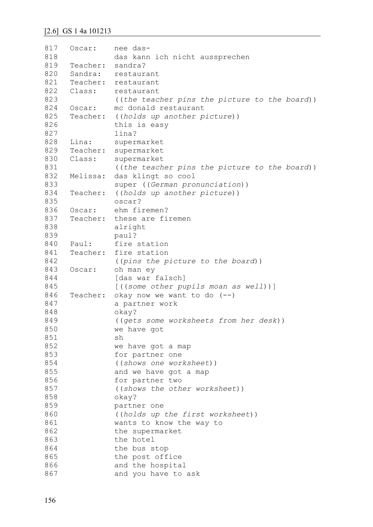```
817
818
819
820
821
822
823
824
825
826
827
828
829
830
831
832
833
834
835
836
837
838
839
840
841
842
843
844
845
846
847
848
849
850
851
852
853
854
855
856
857
858
859
860
861
862
863
864
865
866
867
     Oscar: nee das-
               das kann ich nicht aussprechen
    Teacher: sandra?
     Sandra: restaurant
     Teacher: restaurant
     Class: restaurant
               ((the teacher pins the picture to the board))
    Oscar: mc donald restaurant
     Teacher: ((holds up another picture))
               this is easy
               lina?
     Lina: supermarket
     Teacher: supermarket
     Class: supermarket 
               ((the teacher pins the picture to the board))
    Melissa: das klingt so cool 
               super ((German pronunciation))
     Teacher: ((holds up another picture)) 
               oscar?
     Oscar: ehm firemen?
     Teacher: these are firemen 
               alright
               paul?
     Paul: fire station
     Teacher: fire station
               ((pins the picture to the board))
    Oscar: oh man ey
               [das war falsch]
               [((some other pupils moan as well))]
     Teacher: okay now we want to do (--)
               a partner work
               okay? 
               ((gets some worksheets from her desk))
               we have got
                sh
               we have got a map 
               for partner one
               ((shows one worksheet)) 
               and we have got a map 
               for partner two
               ((shows the other worksheet)) 
               okay?
               partner one 
               ((holds up the first worksheet)) 
               wants to know the way to 
               the supermarket 
               the hotel 
               the bus stop 
               the post office 
               and the hospital
               and you have to ask
```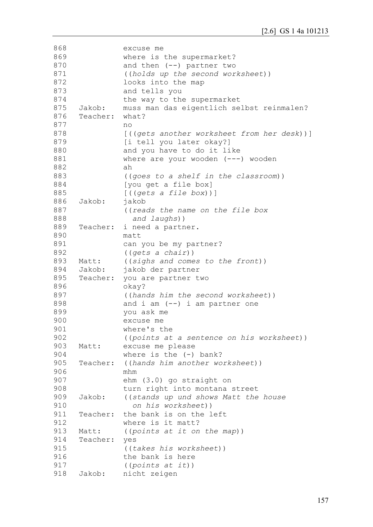| 868 |          | excuse me                                  |
|-----|----------|--------------------------------------------|
| 869 |          | where is the supermarket?                  |
| 870 |          | and then $(--)$ partner two                |
| 871 |          | ((holds up the second worksheet))          |
| 872 |          | looks into the map                         |
| 873 |          | and tells you                              |
| 874 |          | the way to the supermarket                 |
| 875 | Jakob:   | muss man das eigentlich selbst reinmalen?  |
| 876 | Teacher: | what?                                      |
| 877 |          | no                                         |
| 878 |          | [((gets another worksheet from her desk))] |
| 879 |          | [i tell you later okay?]                   |
| 880 |          | and you have to do it like                 |
| 881 |          |                                            |
| 882 |          | where are your wooden $(---)$ wooden<br>ah |
|     |          |                                            |
| 883 |          | ((goes to a shelf in the classroom))       |
| 884 |          | [you get a file box]                       |
| 885 |          | [((gets a file box))]                      |
| 886 | Jakob:   | jakob                                      |
| 887 |          | ((reads the name on the file box           |
| 888 |          | and laughs))                               |
| 889 | Teacher: | i need a partner.                          |
| 890 |          | matt                                       |
| 891 |          | can you be my partner?                     |
| 892 |          | ((gets a chain))                           |
| 893 | Matt:    | ((sighs and comes to the front))           |
| 894 | Jakob:   | jakob der partner                          |
| 895 | Teacher: | you are partner two                        |
| 896 |          | okay?                                      |
| 897 |          | ((hands him the second worksheet))         |
| 898 |          | and $i$ am $(--)$ i am partner one         |
| 899 |          | you ask me                                 |
| 900 |          | excuse me                                  |
| 901 |          | where's the                                |
| 902 |          | ((points at a sentence on his worksheet))  |
| 903 | Matt:    | excuse me please                           |
| 904 |          | where is the $(-)$ bank?                   |
| 905 | Teacher: | ((hands him another worksheet))            |
| 906 |          | mhm                                        |
| 907 |          | ehm (3.0) go straight on                   |
| 908 |          | turn right into montana street             |
| 909 | Jakob:   | ((stands up und shows Matt the house       |
| 910 |          | on his worksheet))                         |
| 911 | Teacher: | the bank is on the left                    |
| 912 |          | where is it matt?                          |
|     |          |                                            |
| 913 | Matt:    | ((points at it on the map))                |
| 914 | Teacher: | yes                                        |
| 915 |          | ((takes his worksheet))                    |
| 916 |          | the bank is here                           |
| 917 |          | ((points at it))                           |
| 918 | Jakob:   | nicht zeigen                               |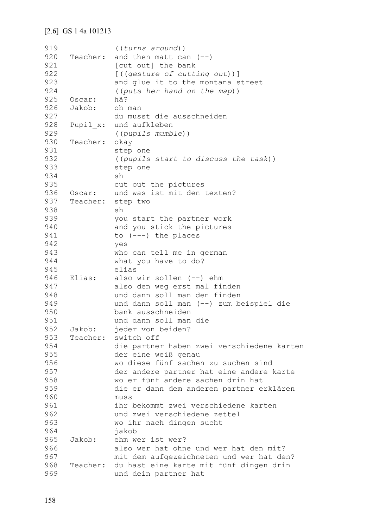```
919
920
921
922
923
924
925
926
927
928
929
930
931
932
933
934
935
936
937
938
939
940
941
942
943
944
945
946
947
948
949
950
951
952
953
954
955
956
957
958
959
960
961
962
963
964
965
966
967
968
969
                ((turns around))
     Teacher: and then matt can (--)[cut out] the bank 
                [((gesture of cutting out))] 
               and glue it to the montana street 
                ((puts her hand on the map))
    Oscar: hä?
     Jakob: oh man 
               du musst die ausschneiden 
     Pupil x: und aufkleben
               ((pupils mumble))
    Teacher: okay 
                step one 
                ((pupils start to discuss the task))
               step one 
               sh
               cut out the pictures
    Oscar: und was ist mit den texten?
     Teacher: step two 
               sh
               you start the partner work 
               and you stick the pictures 
               to (---) the places 
               yes
               who can tell me in german 
               what you have to do? 
               elias
    Elias: also wir sollen (--) ehm 
               also den weg erst mal finden 
               und dann soll man den finden
               und dann soll man (--) zum beispiel die 
               bank ausschneiden
               und dann soll man die
     Jakob: jeder von beiden?
     Teacher: switch off
               die partner haben zwei verschiedene karten
               der eine weiß genau 
               wo diese fünf sachen zu suchen sind
               der andere partner hat eine andere karte 
               wo er fünf andere sachen drin hat
               die er dann dem anderen partner erklären 
               muss
               ihr bekommt zwei verschiedene karten
               und zwei verschiedene zettel
               wo ihr nach dingen sucht
               jakob
     Jakob: ehm wer ist wer? 
               also wer hat ohne und wer hat den mit? 
               mit dem aufgezeichneten und wer hat den?
     Teacher: du hast eine karte mit fünf dingen drin 
               und dein partner hat
```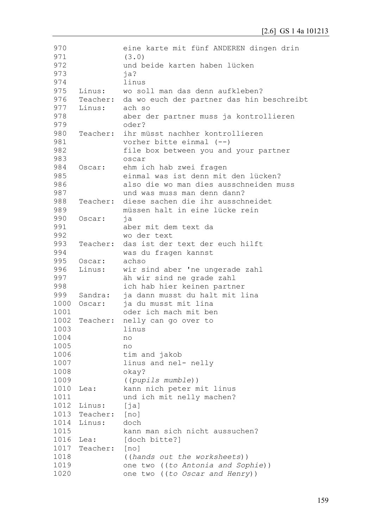| 970  |          | eine karte mit fünf ANDEREN dingen drin   |
|------|----------|-------------------------------------------|
| 971  |          | (3.0)                                     |
| 972  |          | und beide karten haben lücken             |
| 973  |          | ja?                                       |
| 974  |          | linus                                     |
| 975  | Linus:   | wo soll man das denn aufkleben?           |
| 976  | Teacher: | da wo euch der partner das hin beschreibt |
| 977  | Linus:   | ach so                                    |
| 978  |          | aber der partner muss ja kontrollieren    |
| 979  |          | oder?                                     |
| 980  | Teacher: | ihr müsst nachher kontrollieren           |
| 981  |          | vorher bitte einmal $(--)$                |
| 982  |          | file box between you and your partner     |
| 983  |          | oscar                                     |
| 984  | Oscar:   | ehm ich hab zwei fragen                   |
| 985  |          | einmal was ist denn mit den lücken?       |
| 986  |          | also die wo man dies ausschneiden muss    |
| 987  |          | und was muss man denn dann?               |
| 988  | Teacher: | diese sachen die ihr ausschneidet         |
| 989  |          | müssen halt in eine lücke rein            |
| 990  | Oscar:   | ja                                        |
| 991  |          | aber mit dem text da                      |
| 992  |          | wo der text                               |
| 993  | Teacher: | das ist der text der euch hilft           |
| 994  |          | was du fragen kannst                      |
| 995  | Oscar:   | achso                                     |
| 996  | Linus:   | wir sind aber 'ne ungerade zahl           |
| 997  |          |                                           |
| 998  |          | äh wir sind ne grade zahl                 |
|      |          | ich hab hier keinen partner               |
| 999  | Sandra:  | ja dann musst du halt mit lina            |
| 1000 | Oscar:   | ja du musst mit lina                      |
| 1001 |          | oder ich mach mit ben                     |
| 1002 | Teacher: | nelly can go over to                      |
| 1003 |          | linus                                     |
| 1004 |          | no                                        |
| 1005 |          | no                                        |
| 1006 |          | tim and jakob                             |
| 1007 |          | linus and nel- nelly                      |
| 1008 |          | okay?                                     |
| 1009 |          | ((pupils mumble))                         |
| 1010 | Lea:     | kann nich peter mit linus                 |
| 1011 |          | und ich mit nelly machen?                 |
| 1012 | Linus:   | [ja]                                      |
| 1013 | Teacher: | [no]                                      |
| 1014 | Linus:   | doch                                      |
| 1015 |          | kann man sich nicht aussuchen?            |
| 1016 | Lea:     | [doch bitte?]                             |
| 1017 | Teacher: | [no]                                      |
| 1018 |          | ((hands out the worksheets))              |
| 1019 |          | one two ((to Antonia and Sophie))         |
| 1020 |          | one two ((to Oscar and Henry))            |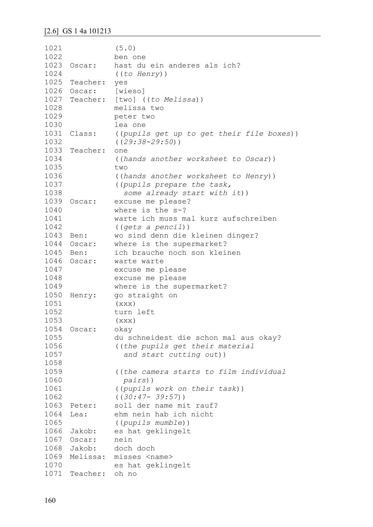```
1021
1022
1023 Oscar:
1024
1025
Teacher: yes
1026 Oscar:
1027
Teacher: [two] ((to Melissa)) 
1028
1029
1030
1031 Class:
1032
1033
Teacher: one
1034
1035
1036
1037
1038
1039 Oscar:
1040
1041
1042
1043 Ben:
1044 Oscar:
1045 Ben:
1046 Oscar:
1047
1048
1049
1050 Henry:
1051
1052
1053
1054
Oscar: okay
1055
1056
1057
1058
1059
1060
1061
1062
1063 Peter:
1064 Lea:
1065
1066 Jakob:
1067
Oscar: nein
1068 Jakob:
1069
Melissa: misses <name> 
1070
1071
Teacher: oh no (5.0)
               ben one
               hast du ein anderes als ich?
               ((to Henry))
               [wieso]
               melissa two 
               peter two 
               lea one
               ((pupils get up to get their file boxes))
                ((29:38-29:50))
               ((hands another worksheet to Oscar))
               two
                ((hands another worksheet to Henry))
                ((pupils prepare the task, 
                   some already start with it))
               excuse me please?
               where is the s-? 
               warte ich muss mal kurz aufschreiben
               ((gets a pencil))
              wo sind denn die kleinen dinger?
              where is the supermarket?
               ich brauche noch son kleinen
               warte warte
               excuse me please
               excuse me please
               where is the supermarket?
               go straight on
               (xxx)
               turn left 
               (xxx)du schneidest die schon mal aus okay?
                ((the pupils get their material 
                   and start cutting out))
                ((the camera starts to film individual
                  pairs))
                ((pupils work on their task))
               ((30:47- 39:57))
              soll der name mit rauf?
               ehm nein hab ich nicht
               ((pupils mumble))
              es hat geklingelt
               doch doch
               es hat geklingelt
```